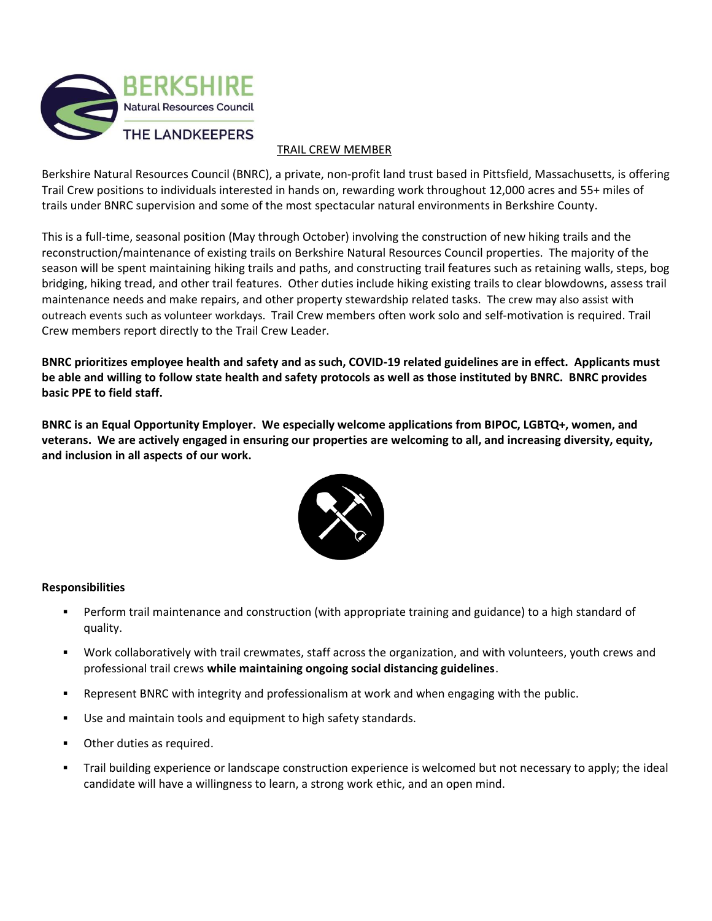

## TRAIL CREW MEMBER

Berkshire Natural Resources Council (BNRC), a private, non-profit land trust based in Pittsfield, Massachusetts, is offering Trail Crew positions to individuals interested in hands on, rewarding work throughout 12,000 acres and 55+ miles of trails under BNRC supervision and some of the most spectacular natural environments in Berkshire County.

This is a full-time, seasonal position (May through October) involving the construction of new hiking trails and the reconstruction/maintenance of existing trails on Berkshire Natural Resources Council properties. The majority of the season will be spent maintaining hiking trails and paths, and constructing trail features such as retaining walls, steps, bog bridging, hiking tread, and other trail features. Other duties include hiking existing trails to clear blowdowns, assess trail maintenance needs and make repairs, and other property stewardship related tasks. The crew may also assist with outreach events such as volunteer workdays. Trail Crew members often work solo and self-motivation is required. Trail Crew members report directly to the Trail Crew Leader.

BNRC prioritizes employee health and safety and as such, COVID-19 related guidelines are in effect. Applicants must be able and willing to follow state health and safety protocols as well as those instituted by BNRC. BNRC provides **basic PPE to field staff.**

**BNRC is an Equal Opportunity Employer. We especially welcome applications from BIPOC, LGBTQ+, women, and veterans. We are actively engaged in ensuring our properties are welcoming to all, and increasing diversity, equity, and inclusion in all aspects of our work.**



## **Responsibilities**

- Perform trail maintenance and construction (with appropriate training and guidance) to a high standard of quality.
- Work collaboratively with trail crewmates, staff across the organization, and with volunteers, youth crews and professional trail crews **while maintaining ongoing social distancing guidelines**.
- **•** Represent BNRC with integrity and professionalism at work and when engaging with the public.
- Use and maintain tools and equipment to high safety standards.
- Other duties as required.
- Trail building experience or landscape construction experience is welcomed but not necessary to apply; the ideal candidate will have a willingness to learn, a strong work ethic, and an open mind.